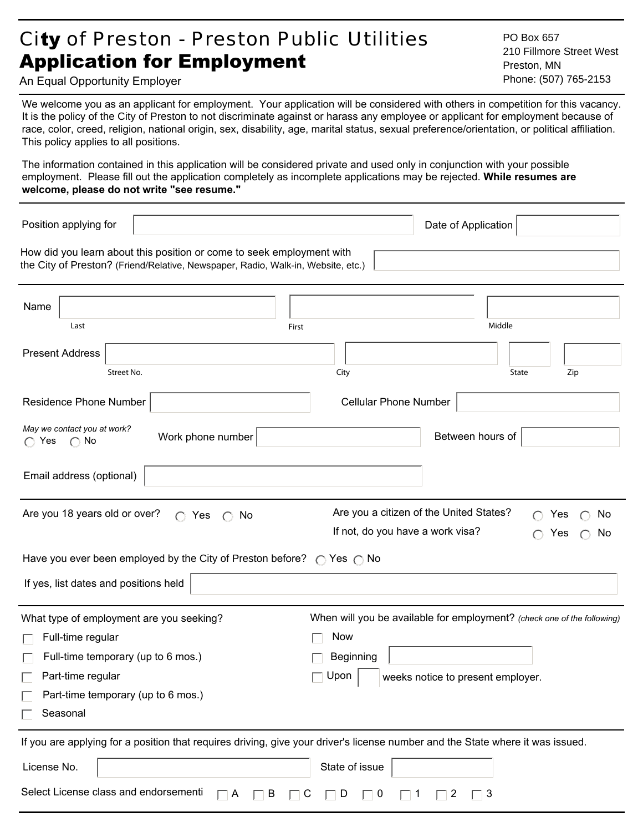# City of Preston - Preston Public Utilities Application for Employment

PO Box 657 210 Fillmore Street West Preston, MN Phone: (507) 765-2153

An Equal Opportunity Employer

We welcome you as an applicant for employment. Your application will be considered with others in competition for this vacancy. It is the policy of the City of Preston to not discriminate against or harass any employee or applicant for employment because of race, color, creed, religion, national origin, sex, disability, age, marital status, sexual preference/orientation, or political affiliation. This policy applies to all positions.

The information contained in this application will be considered private and used only in conjunction with your possible employment. Please fill out the application completely as incomplete applications may be rejected. **While resumes are welcome, please do not write "see resume."**

| Position applying for                                         |                                                                                                                                                           |                                                                             | Date of Application               |        |                          |
|---------------------------------------------------------------|-----------------------------------------------------------------------------------------------------------------------------------------------------------|-----------------------------------------------------------------------------|-----------------------------------|--------|--------------------------|
|                                                               | How did you learn about this position or come to seek employment with<br>the City of Preston? (Friend/Relative, Newspaper, Radio, Walk-in, Website, etc.) |                                                                             |                                   |        |                          |
| Name<br>Last                                                  | First                                                                                                                                                     |                                                                             |                                   | Middle |                          |
| <b>Present Address</b><br>Street No.                          |                                                                                                                                                           | City                                                                        |                                   | State  | Zip                      |
| Residence Phone Number                                        |                                                                                                                                                           | <b>Cellular Phone Number</b>                                                |                                   |        |                          |
| May we contact you at work?<br>$\bigcap$ Yes<br>$\bigcirc$ No | Work phone number                                                                                                                                         |                                                                             | Between hours of                  |        |                          |
| Email address (optional)                                      |                                                                                                                                                           |                                                                             |                                   |        |                          |
| Are you 18 years old or over?                                 | $\bigcap$ Yes<br>No<br>$\bigcap$                                                                                                                          | Are you a citizen of the United States?<br>If not, do you have a work visa? |                                   |        | Yes<br>No.<br>Yes<br>No. |
|                                                               | Have you ever been employed by the City of Preston before? $\bigcirc$ Yes $\bigcirc$ No                                                                   |                                                                             |                                   |        |                          |
| If yes, list dates and positions held                         |                                                                                                                                                           |                                                                             |                                   |        |                          |
| What type of employment are you seeking?                      |                                                                                                                                                           | When will you be available for employment? (check one of the following)     |                                   |        |                          |
| Full-time regular                                             |                                                                                                                                                           | <b>Now</b>                                                                  |                                   |        |                          |
| Full-time temporary (up to 6 mos.)                            |                                                                                                                                                           | Beginning                                                                   |                                   |        |                          |
| Part-time regular                                             |                                                                                                                                                           | Upon                                                                        | weeks notice to present employer. |        |                          |
| Part-time temporary (up to 6 mos.)<br>Seasonal                |                                                                                                                                                           |                                                                             |                                   |        |                          |
|                                                               | If you are applying for a position that requires driving, give your driver's license number and the State where it was issued.                            |                                                                             |                                   |        |                          |
| License No.                                                   |                                                                                                                                                           | State of issue                                                              |                                   |        |                          |
| Select License class and endorsementi                         | $\Box$ B<br>$\Box$ A                                                                                                                                      | $\Box$ C<br>$\Box$ D<br>$\Box$ 0                                            | $\Box$ 1 $\Box$ 2<br>$\Box$ 3     |        |                          |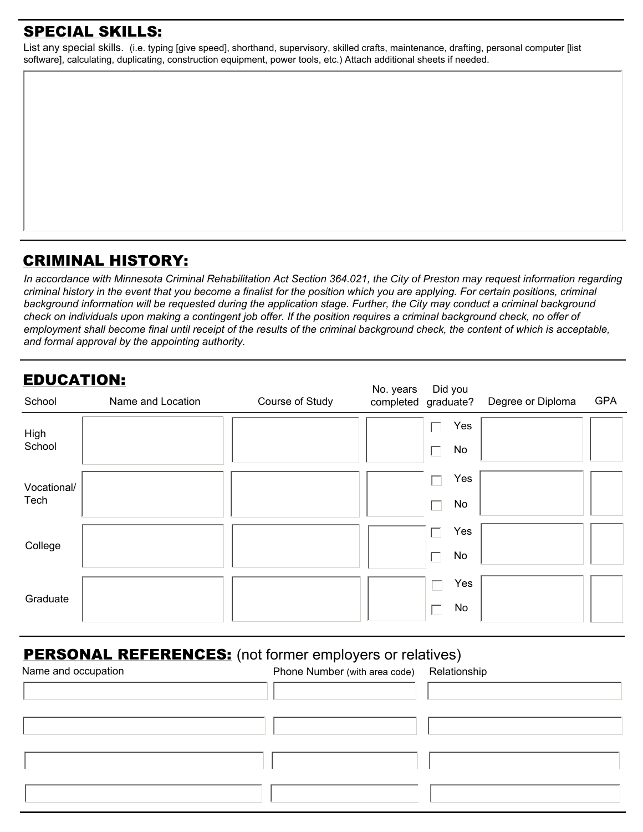### SPECIAL SKILLS:

List any special skills. (i.e. typing [give speed], shorthand, supervisory, skilled crafts, maintenance, drafting, personal computer [list software], calculating, duplicating, construction equipment, power tools, etc.) Attach additional sheets if needed.

### CRIMINAL HISTORY:

In accordance with Minnesota Criminal Rehabilitation Act Section 364.021, the City of Preston may request information regarding *criminal history in the event that you become a finalist for the position which you are applying. For certain positions, criminal background information will be requested during the application stage. Further, the City may conduct a criminal background check on individuals upon making a contingent job offer. If the position requires a criminal background check, no offer of employment shall become final until receipt of the results of the criminal background check, the content of which is acceptable, and formal approval by the appointing authority.*

| <b>EDUCATION:</b><br>No. years<br>Did you |                   |                 |  |                     |                   |            |
|-------------------------------------------|-------------------|-----------------|--|---------------------|-------------------|------------|
| School                                    | Name and Location | Course of Study |  | completed graduate? | Degree or Diploma | <b>GPA</b> |
| High                                      |                   |                 |  | Yes<br>×.           |                   |            |
| School                                    |                   |                 |  | No<br>$\mathbf{L}$  |                   |            |
| Vocational/                               |                   |                 |  | Yes<br>M.           |                   |            |
| Tech                                      |                   |                 |  | No                  |                   |            |
| College                                   |                   |                 |  | Yes                 |                   |            |
|                                           |                   |                 |  | No                  |                   |            |
| Graduate                                  |                   |                 |  | Yes<br>Г            |                   |            |
|                                           |                   |                 |  | No<br>I.            |                   |            |

## **PERSONAL REFERENCES:** (not former employers or relatives)

| Name and occupation | Phone Number (with area code) | Relationship |
|---------------------|-------------------------------|--------------|
|                     |                               |              |
|                     |                               |              |
|                     |                               |              |
|                     |                               |              |
|                     |                               |              |
|                     |                               |              |
|                     |                               |              |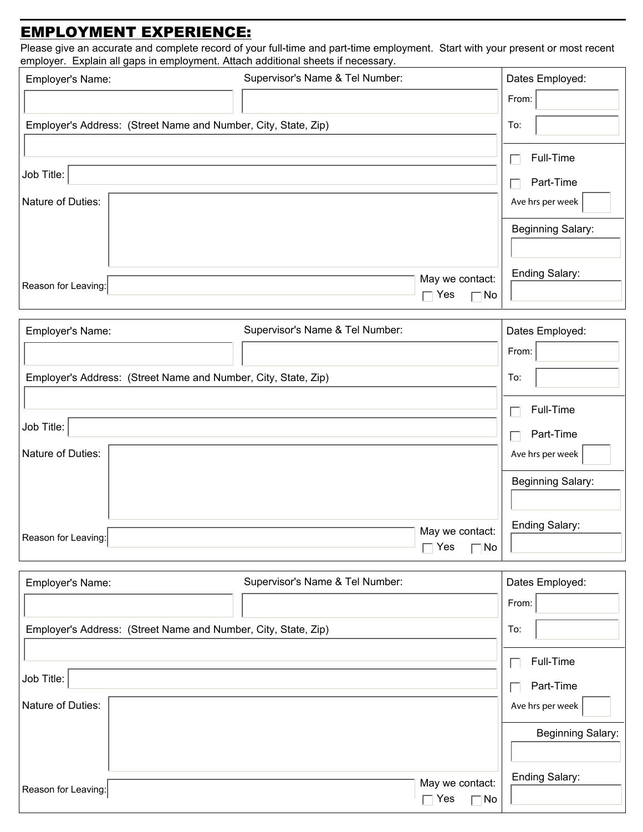### EMPLOYMENT EXPERIENCE:

Please give an accurate and complete record of your full-time and part-time employment. Start with your present or most recent employer. Explain all gaps in employment. Attach additional sheets if necessary.

| Employer's Name:    |                                                                | Supervisor's Name & Tel Number: |                                              | Dates Employed:          |
|---------------------|----------------------------------------------------------------|---------------------------------|----------------------------------------------|--------------------------|
|                     |                                                                |                                 |                                              | From:                    |
|                     | Employer's Address: (Street Name and Number, City, State, Zip) |                                 |                                              | To:                      |
|                     |                                                                |                                 |                                              | Full-Time                |
| Job Title:          |                                                                |                                 |                                              | Part-Time                |
| Nature of Duties:   |                                                                |                                 |                                              | Ave hrs per week         |
|                     |                                                                |                                 |                                              |                          |
|                     |                                                                |                                 |                                              | <b>Beginning Salary:</b> |
|                     |                                                                |                                 |                                              | Ending Salary:           |
| Reason for Leaving: |                                                                |                                 | May we contact:<br>$\Box$ Yes<br>$\neg$ No   |                          |
|                     |                                                                |                                 |                                              |                          |
| Employer's Name:    |                                                                | Supervisor's Name & Tel Number: |                                              | Dates Employed:          |
|                     |                                                                |                                 |                                              | From:                    |
|                     | Employer's Address: (Street Name and Number, City, State, Zip) |                                 |                                              | To:                      |
|                     |                                                                |                                 |                                              | Full-Time                |
| Job Title:          |                                                                |                                 |                                              | Part-Time                |
| Nature of Duties:   |                                                                |                                 |                                              | Ave hrs per week         |
|                     |                                                                |                                 |                                              | Beginning Salary:        |
|                     |                                                                |                                 |                                              |                          |
|                     |                                                                |                                 |                                              | Ending Salary:           |
| Reason for Leaving: |                                                                |                                 | May we contact:<br>$\Gamma$ Yes<br>$\neg$ No |                          |
|                     |                                                                |                                 |                                              |                          |
| Employer's Name:    |                                                                | Supervisor's Name & Tel Number: |                                              | Dates Employed:          |
|                     |                                                                |                                 |                                              | From:                    |
|                     | Employer's Address: (Street Name and Number, City, State, Zip) |                                 |                                              | To:                      |
|                     |                                                                |                                 |                                              | Full-Time                |
| Job Title:          |                                                                |                                 |                                              | Part-Time                |
| Nature of Duties:   |                                                                |                                 |                                              | Ave hrs per week         |
|                     |                                                                |                                 |                                              | Beginning Salary:        |
|                     |                                                                |                                 |                                              |                          |
|                     |                                                                |                                 |                                              | Ending Salary:           |
| Reason for Leaving: |                                                                |                                 | May we contact:<br>$\neg$ Yes<br>No          |                          |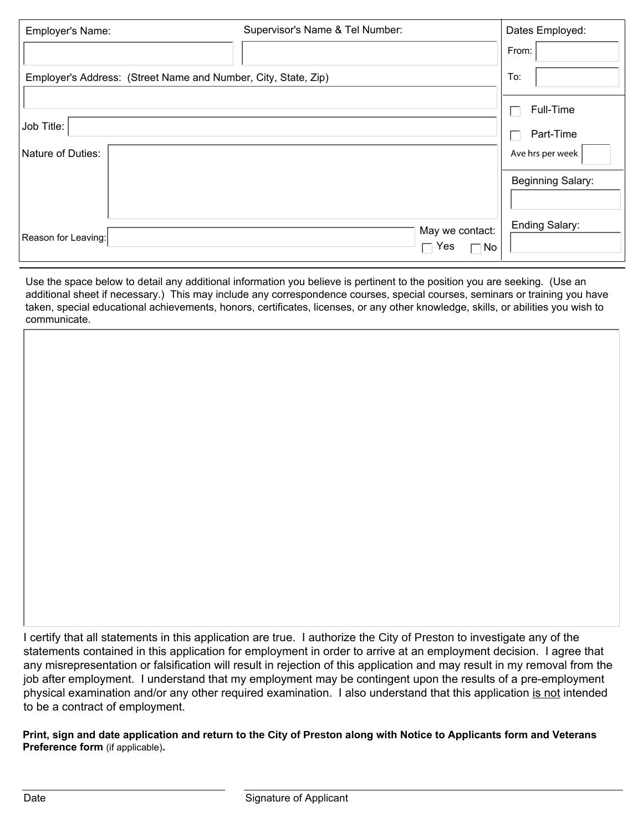| Employer's Name:    | Supervisor's Name & Tel Number:                                | Dates Employed:   |
|---------------------|----------------------------------------------------------------|-------------------|
|                     |                                                                | From:             |
|                     | Employer's Address: (Street Name and Number, City, State, Zip) | To:               |
|                     |                                                                | Full-Time         |
| Job Title:          |                                                                | Part-Time         |
| Nature of Duties:   |                                                                | Ave hrs per week  |
|                     |                                                                | Beginning Salary: |
|                     |                                                                |                   |
| Reason for Leaving: | May we contact:<br>Yes<br>No                                   | Ending Salary:    |

Use the space below to detail any additional information you believe is pertinent to the position you are seeking. (Use an additional sheet if necessary.) This may include any correspondence courses, special courses, seminars or training you have taken, special educational achievements, honors, certificates, licenses, or any other knowledge, skills, or abilities you wish to communicate.

I certify that all statements in this application are true. I authorize the City of Preston to investigate any of the statements contained in this application for employment in order to arrive at an employment decision. I agree that any misrepresentation or falsification will result in rejection of this application and may result in my removal from the job after employment. I understand that my employment may be contingent upon the results of a pre-employment physical examination and/or any other required examination. I also understand that this application is not intended to be a contract of employment.

**Print, sign and date application and return to the City of Preston along with Notice to Applicants form and Veterans Preference form** (if applicable)**.**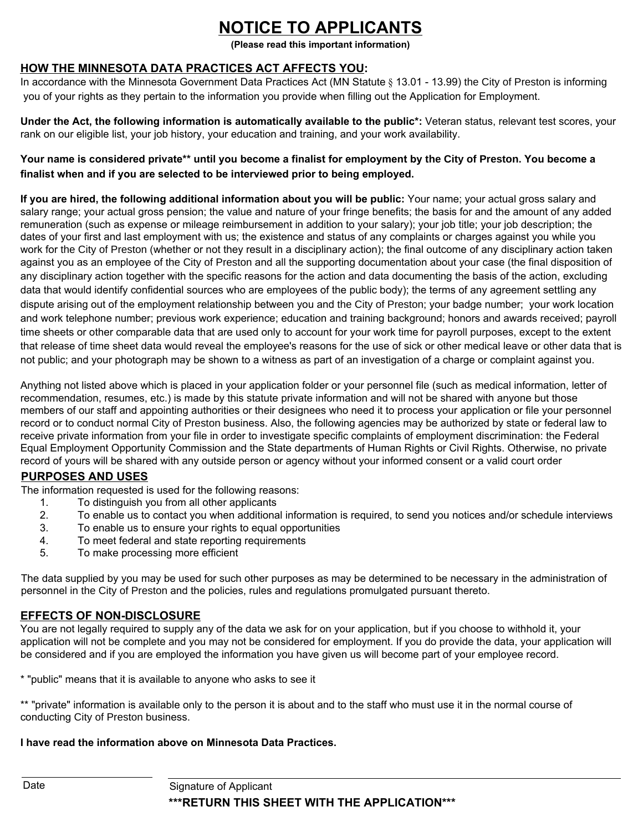## **NOTICE TO APPLICANTS**

**(Please read this important information)**

#### **HOW THE MINNESOTA DATA PRACTICES ACT AFFECTS YOU:**

In accordance with the Minnesota Government Data Practices Act (MN Statute § 13.01 - 13.99) the City of Preston is informing you of your rights as they pertain to the information you provide when filling out the Application for Employment.

**Under the Act, the following information is automatically available to the public\*:** Veteran status, relevant test scores, your rank on our eligible list, your job history, your education and training, and your work availability.

#### **Your name is considered private\*\* until you become a finalist for employment by the City of Preston. You become a finalist when and if you are selected to be interviewed prior to being employed.**

**If you are hired, the following additional information about you will be public:** Your name; your actual gross salary and salary range; your actual gross pension; the value and nature of your fringe benefits; the basis for and the amount of any added remuneration (such as expense or mileage reimbursement in addition to your salary); your job title; your job description; the dates of your first and last employment with us; the existence and status of any complaints or charges against you while you work for the City of Preston (whether or not they result in a disciplinary action); the final outcome of any disciplinary action taken against you as an employee of the City of Preston and all the supporting documentation about your case (the final disposition of any disciplinary action together with the specific reasons for the action and data documenting the basis of the action, excluding data that would identify confidential sources who are employees of the public body); the terms of any agreement settling any dispute arising out of the employment relationship between you and the City of Preston; your badge number; your work location and work telephone number; previous work experience; education and training background; honors and awards received; payroll time sheets or other comparable data that are used only to account for your work time for payroll purposes, except to the extent that release of time sheet data would reveal the employee's reasons for the use of sick or other medical leave or other data that is not public; and your photograph may be shown to a witness as part of an investigation of a charge or complaint against you.

Anything not listed above which is placed in your application folder or your personnel file (such as medical information, letter of recommendation, resumes, etc.) is made by this statute private information and will not be shared with anyone but those members of our staff and appointing authorities or their designees who need it to process your application or file your personnel record or to conduct normal City of Preston business. Also, the following agencies may be authorized by state or federal law to receive private information from your file in order to investigate specific complaints of employment discrimination: the Federal Equal Employment Opportunity Commission and the State departments of Human Rights or Civil Rights. Otherwise, no private record of yours will be shared with any outside person or agency without your informed consent or a valid court order

### **PURPOSES AND USES**

The information requested is used for the following reasons:

- 1. To distinguish you from all other applicants
- 2. To enable us to contact you when additional information is required, to send you notices and/or schedule interviews
- 3. To enable us to ensure your rights to equal opportunities
- 4. To meet federal and state reporting requirements
- 5. To make processing more efficient

The data supplied by you may be used for such other purposes as may be determined to be necessary in the administration of personnel in the City of Preston and the policies, rules and regulations promulgated pursuant thereto.

#### **EFFECTS OF NON-DISCLOSURE**

You are not legally required to supply any of the data we ask for on your application, but if you choose to withhold it, your application will not be complete and you may not be considered for employment. If you do provide the data, your application will be considered and if you are employed the information you have given us will become part of your employee record.

\* "public" means that it is available to anyone who asks to see it

\*\* "private" information is available only to the person it is about and to the staff who must use it in the normal course of conducting City of Preston business.

#### **I have read the information above on Minnesota Data Practices.**